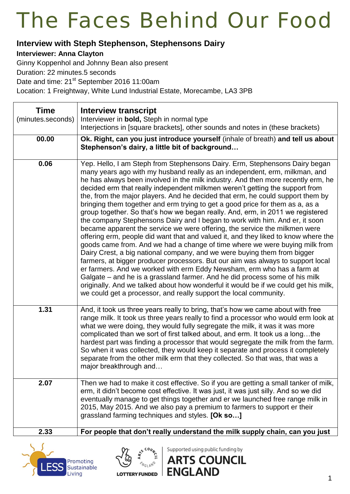#### **Interview with Steph Stephenson, Stephensons Dairy**

#### **Interviewer: Anna Clayton**

Ginny Koppenhol and Johnny Bean also present

Duration: 22 minutes.5 seconds

Date and time: 21<sup>st</sup> September 2016 11:00am

Location: 1 Freightway, White Lund Industrial Estate, Morecambe, LA3 3PB

| <b>Time</b><br>(minutes.seconds) | <b>Interview transcript</b><br>Interviewer in bold, Steph in normal type<br>Interjections in [square brackets], other sounds and notes in (these brackets)                                                                                                                                                                                                                                                                                                                                                                                                                                                                                                                                                                                                                                                                                                                                                                                                                                                                                                                                                                                                                                                                                                                                                                                                                                               |
|----------------------------------|----------------------------------------------------------------------------------------------------------------------------------------------------------------------------------------------------------------------------------------------------------------------------------------------------------------------------------------------------------------------------------------------------------------------------------------------------------------------------------------------------------------------------------------------------------------------------------------------------------------------------------------------------------------------------------------------------------------------------------------------------------------------------------------------------------------------------------------------------------------------------------------------------------------------------------------------------------------------------------------------------------------------------------------------------------------------------------------------------------------------------------------------------------------------------------------------------------------------------------------------------------------------------------------------------------------------------------------------------------------------------------------------------------|
| 00.00                            | Ok. Right, can you just introduce yourself (inhale of breath) and tell us about<br>Stephenson's dairy, a little bit of background                                                                                                                                                                                                                                                                                                                                                                                                                                                                                                                                                                                                                                                                                                                                                                                                                                                                                                                                                                                                                                                                                                                                                                                                                                                                        |
| 0.06                             | Yep. Hello, I am Steph from Stephensons Dairy. Erm, Stephensons Dairy began<br>many years ago with my husband really as an independent, erm, milkman, and<br>he has always been involved in the milk industry. And then more recently erm, he<br>decided erm that really independent milkmen weren't getting the support from<br>the, from the major players. And he decided that erm, he could support them by<br>bringing them together and erm trying to get a good price for them as a, as a<br>group together. So that's how we began really. And, erm, in 2011 we registered<br>the company Stephensons Dairy and I began to work with him. And er, it soon<br>became apparent the service we were offering, the service the milkmen were<br>offering erm, people did want that and valued it, and they liked to know where the<br>goods came from. And we had a change of time where we were buying milk from<br>Dairy Crest, a big national company, and we were buying them from bigger<br>farmers, at bigger producer processors. But our aim was always to support local<br>er farmers. And we worked with erm Eddy Newsham, erm who has a farm at<br>Galgate – and he is a grassland farmer. And he did process some of his milk<br>originally. And we talked about how wonderful it would be if we could get his milk,<br>we could get a processor, and really support the local community. |
| 1.31                             | And, it took us three years really to bring, that's how we came about with free<br>range milk. It took us three years really to find a processor who would erm look at<br>what we were doing, they would fully segregate the milk, it was it was more<br>complicated than we sort of first talked about, and erm. It took us a longthe<br>hardest part was finding a processor that would segregate the milk from the farm.<br>So when it was collected, they would keep it separate and process it completely<br>separate from the other milk erm that they collected. So that was, that was a<br>major breakthrough and                                                                                                                                                                                                                                                                                                                                                                                                                                                                                                                                                                                                                                                                                                                                                                                |
| 2.07                             | Then we had to make it cost effective. So if you are getting a small tanker of milk,<br>erm, it didn't become cost effective. It was just, it was just silly. And so we did<br>eventually manage to get things together and er we launched free range milk in<br>2015, May 2015. And we also pay a premium to farmers to support er their<br>grassland farming techniques and styles. [Ok so]                                                                                                                                                                                                                                                                                                                                                                                                                                                                                                                                                                                                                                                                                                                                                                                                                                                                                                                                                                                                            |
| 2.33                             | For people that don't really understand the milk supply chain, can you just                                                                                                                                                                                                                                                                                                                                                                                                                                                                                                                                                                                                                                                                                                                                                                                                                                                                                                                                                                                                                                                                                                                                                                                                                                                                                                                              |





Supported using public funding by **ARTS COUNCIL**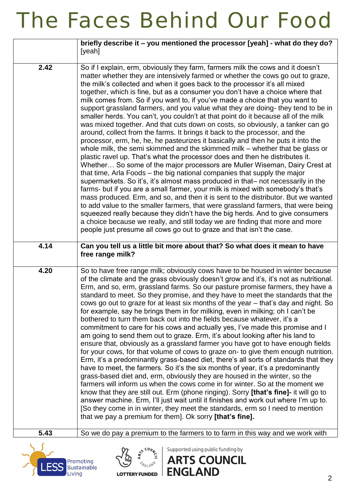|      | briefly describe it – you mentioned the processor [yeah] - what do they do?<br>[yeah]                                                                                                                                                                                                                                                                                                                                                                                                                                                                                                                                                                                                                                                                                                                                                                                                                                                                                                                                                                                                                                                                                                                                                                                                                                                                                                                                                                                                                                                                                                                                                                                                                                                                                  |
|------|------------------------------------------------------------------------------------------------------------------------------------------------------------------------------------------------------------------------------------------------------------------------------------------------------------------------------------------------------------------------------------------------------------------------------------------------------------------------------------------------------------------------------------------------------------------------------------------------------------------------------------------------------------------------------------------------------------------------------------------------------------------------------------------------------------------------------------------------------------------------------------------------------------------------------------------------------------------------------------------------------------------------------------------------------------------------------------------------------------------------------------------------------------------------------------------------------------------------------------------------------------------------------------------------------------------------------------------------------------------------------------------------------------------------------------------------------------------------------------------------------------------------------------------------------------------------------------------------------------------------------------------------------------------------------------------------------------------------------------------------------------------------|
| 2.42 | So if I explain, erm, obviously they farm, farmers milk the cows and it doesn't<br>matter whether they are intensively farmed or whether the cows go out to graze,<br>the milk's collected and when it goes back to the processor it's all mixed<br>together, which is fine, but as a consumer you don't have a choice where that<br>milk comes from. So if you want to, if you've made a choice that you want to<br>support grassland farmers, and you value what they are doing- they tend to be in<br>smaller herds. You can't, you couldn't at that point do it because all of the milk<br>was mixed together. And that cuts down on costs, so obviously, a tanker can go<br>around, collect from the farms. It brings it back to the processor, and the<br>processor, erm, he, he, he pasteurizes it basically and then he puts it into the<br>whole milk, the semi skimmed and the skimmed milk – whether that be glass or<br>plastic ravel up. That's what the processor does and then he distributes it.<br>Whether So some of the major processors are Muller Wiseman, Dairy Crest at<br>that time, Arla Foods – the big national companies that supply the major<br>supermarkets. So it's, it's almost mass produced in that- not necessarily in the<br>farms- but if you are a small farmer, your milk is mixed with somebody's that's<br>mass produced. Erm, and so, and then it is sent to the distributor. But we wanted<br>to add value to the smaller farmers, that were grassland farmers, that were being<br>squeezed really because they didn't have the big herds. And to give consumers<br>a choice because we really, and still today we are finding that more and more<br>people just presume all cows go out to graze and that isn't the case. |
| 4.14 | Can you tell us a little bit more about that? So what does it mean to have<br>free range milk?                                                                                                                                                                                                                                                                                                                                                                                                                                                                                                                                                                                                                                                                                                                                                                                                                                                                                                                                                                                                                                                                                                                                                                                                                                                                                                                                                                                                                                                                                                                                                                                                                                                                         |
| 4.20 | So to have free range milk; obviously cows have to be housed in winter because<br>of the climate and the grass obviously doesn't grow and it's, it's not as nutritional.<br>Erm, and so, erm, grassland farms. So our pasture promise farmers, they have a<br>standard to meet. So they promise, and they have to meet the standards that the<br>cows go out to graze for at least six months of the year – that's day and night. So<br>for example, say he brings them in for milking, even in milking; oh I can't be<br>bothered to turn them back out into the fields because whatever, it's a<br>commitment to care for his cows and actually yes, I've made this promise and I<br>am going to send them out to graze. Erm, it's about looking after his land to<br>ensure that, obviously as a grassland farmer you have got to have enough fields<br>for your cows, for that volume of cows to graze on- to give them enough nutrition.<br>Erm, it's a predominantly grass-based diet, there's all sorts of standards that they<br>have to meet, the farmers. So it's the six months of year, it's a predominantly<br>grass-based diet and, erm, obviously they are housed in the winter, so the<br>farmers will inform us when the cows come in for winter. So at the moment we<br>know that they are still out. Erm (phone ringing). Sorry [that's fine]- it will go to<br>answer machine. Erm, I'll just wait until it finishes and work out where I'm up to.<br>[So they come in in winter, they meet the standards, erm so I need to mention<br>that we pay a premium for them]. Ok sorry [that's fine].                                                                                                                                                    |
| 5.43 | So we do pay a premium to the farmers to to farm in this way and we work with                                                                                                                                                                                                                                                                                                                                                                                                                                                                                                                                                                                                                                                                                                                                                                                                                                                                                                                                                                                                                                                                                                                                                                                                                                                                                                                                                                                                                                                                                                                                                                                                                                                                                          |
|      | Supported using public funding by<br><b>ARTS COUNCIL</b><br>Promoting                                                                                                                                                                                                                                                                                                                                                                                                                                                                                                                                                                                                                                                                                                                                                                                                                                                                                                                                                                                                                                                                                                                                                                                                                                                                                                                                                                                                                                                                                                                                                                                                                                                                                                  |

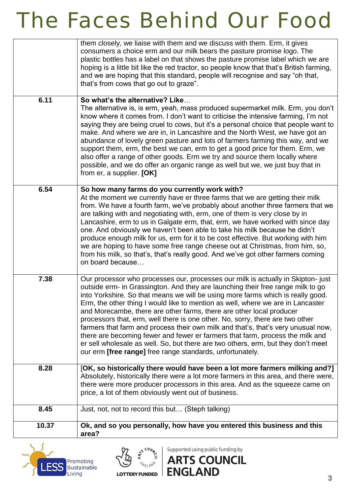|       | them closely, we liaise with them and we discuss with them. Erm, it gives<br>consumers a choice erm and our milk bears the pasture promise logo. The<br>plastic bottles has a label on that shows the pasture promise label which we are<br>hoping is a little bit like the red tractor, so people know that that's British farming,<br>and we are hoping that this standard, people will recognise and say "oh that,<br>that's from cows that go out to graze".                                                                                                                                                                                                                                                                                                                                                           |
|-------|----------------------------------------------------------------------------------------------------------------------------------------------------------------------------------------------------------------------------------------------------------------------------------------------------------------------------------------------------------------------------------------------------------------------------------------------------------------------------------------------------------------------------------------------------------------------------------------------------------------------------------------------------------------------------------------------------------------------------------------------------------------------------------------------------------------------------|
| 6.11  | So what's the alternative? Like<br>The alternative is, is erm, yeah, mass produced supermarket milk. Erm, you don't<br>know where it comes from. I don't want to criticise the intensive farming, I'm not<br>saying they are being cruel to cows, but it's a personal choice that people want to<br>make. And where we are in, in Lancashire and the North West, we have got an<br>abundance of lovely green pasture and lots of farmers farming this way, and we<br>support them, erm, the best we can, erm to get a good price for them. Erm, we<br>also offer a range of other goods. Erm we try and source them locally where<br>possible, and we do offer an organic range as well but we, we just buy that in<br>from er, a supplier. [OK]                                                                           |
| 6.54  | So how many farms do you currently work with?<br>At the moment we currently have er three farms that we are getting their milk<br>from. We have a fourth farm, we've probably about another three farmers that we<br>are talking with and negotiating with, erm, one of them is very close by in<br>Lancashire, erm to us in Galgate erm, that, erm, we have worked with since day<br>one. And obviously we haven't been able to take his milk because he didn't<br>produce enough milk for us, erm for it to be cost effective. But working with him<br>we are hoping to have some free range cheese out at Christmas, from him, so,<br>from his milk, so that's, that's really good. And we've got other farmers coming<br>on board because                                                                              |
| 7.38  | Our processor who processes our, processes our milk is actually in Skipton- just<br>outside erm- in Grassington. And they are launching their free range milk to go<br>into Yorkshire. So that means we will be using more farms which is really good.<br>Erm, the other thing I would like to mention as well, where we are in Lancaster<br>and Morecambe, there are other farms, there are other local producer<br>processors that, erm, well there is one other. No, sorry, there are two other<br>farmers that farm and process their own milk and that's, that's very unusual now,<br>there are becoming fewer and fewer er farmers that farm, process the milk and<br>er sell wholesale as well. So, but there are two others, erm, but they don't meet<br>our erm [free range] free range standards, unfortunately. |
| 8.28  | [OK, so historically there would have been a lot more farmers milking and?]<br>Absolutely, historically there were a lot more farmers in this area, and there were,<br>there were more producer processors in this area. And as the squeeze came on<br>price, a lot of them obviously went out of business.                                                                                                                                                                                                                                                                                                                                                                                                                                                                                                                |
| 8.45  | Just, not, not to record this but (Steph talking)                                                                                                                                                                                                                                                                                                                                                                                                                                                                                                                                                                                                                                                                                                                                                                          |
| 10.37 | Ok, and so you personally, how have you entered this business and this<br>area?                                                                                                                                                                                                                                                                                                                                                                                                                                                                                                                                                                                                                                                                                                                                            |





Supported using public funding by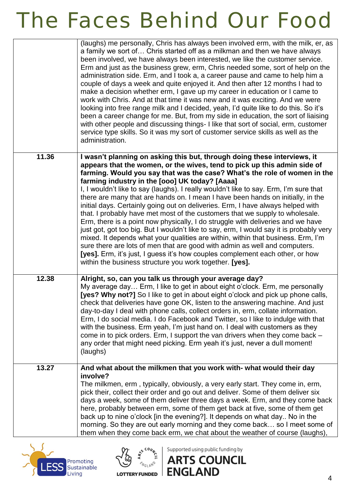|       | (laughs) me personally, Chris has always been involved erm, with the milk, er, as<br>a family we sort of Chris started off as a milkman and then we have always<br>been involved, we have always been interested, we like the customer service.<br>Erm and just as the business grew, erm, Chris needed some, sort of help on the<br>administration side. Erm, and I took a, a career pause and came to help him a<br>couple of days a week and quite enjoyed it. And then after 12 months I had to<br>make a decision whether erm, I gave up my career in education or I came to<br>work with Chris. And at that time it was new and it was exciting. And we were<br>looking into free range milk and I decided, yeah, I'd quite like to do this. So it's<br>been a career change for me. But, from my side in education, the sort of liaising<br>with other people and discussing things- I like that sort of social, erm, customer<br>service type skills. So it was my sort of customer service skills as well as the<br>administration.                                                                                   |
|-------|--------------------------------------------------------------------------------------------------------------------------------------------------------------------------------------------------------------------------------------------------------------------------------------------------------------------------------------------------------------------------------------------------------------------------------------------------------------------------------------------------------------------------------------------------------------------------------------------------------------------------------------------------------------------------------------------------------------------------------------------------------------------------------------------------------------------------------------------------------------------------------------------------------------------------------------------------------------------------------------------------------------------------------------------------------------------------------------------------------------------------------|
| 11.36 | I wasn't planning on asking this but, through doing these interviews, it<br>appears that the women, or the wives, tend to pick up this admin side of<br>farming. Would you say that was the case? What's the role of women in the<br>farming industry in the [000] UK today? [Aaaa]<br>I, I wouldn't like to say (laughs). I really wouldn't like to say. Erm, I'm sure that<br>there are many that are hands on. I mean I have been hands on initially, in the<br>initial days. Certainly going out on deliveries. Erm, I have always helped with<br>that. I probably have met most of the customers that we supply to wholesale.<br>Erm, there is a point now physically, I do struggle with deliveries and we have<br>just got, got too big. But I wouldn't like to say, erm, I would say it is probably very<br>mixed. It depends what your qualities are within, within that business. Erm, I'm<br>sure there are lots of men that are good with admin as well and computers.<br>[yes]. Erm, it's just, I guess it's how couples complement each other, or how<br>within the business structure you work together. [yes]. |
| 12.38 | Alright, so, can you talk us through your average day?<br>My average day Erm, I like to get in about eight o'clock. Erm, me personally<br>[yes? Why not?] So I like to get in about eight o'clock and pick up phone calls,<br>check that deliveries have gone OK, listen to the answering machine. And just<br>day-to-day I deal with phone calls, collect orders in, erm, collate information.<br>Erm, I do social media. I do Facebook and Twitter, so I like to indulge with that<br>with the business. Erm yeah, I'm just hand on. I deal with customers as they<br>come in to pick orders. Erm, I support the van drivers when they come back -<br>any order that might need picking. Erm yeah it's just, never a dull moment!<br>(laughs)                                                                                                                                                                                                                                                                                                                                                                                |
| 13.27 | And what about the milkmen that you work with- what would their day<br>involve?<br>The milkmen, erm, typically, obviously, a very early start. They come in, erm,<br>pick their, collect their order and go out and deliver. Some of them deliver six<br>days a week, some of them deliver three days a week. Erm, and they come back<br>here, probably between erm, some of them get back at five, some of them get<br>back up to nine o'clock [in the evening?]. It depends on what day No in the<br>morning. So they are out early morning and they come back so I meet some of<br>them when they come back erm, we chat about the weather of course (laughs),                                                                                                                                                                                                                                                                                                                                                                                                                                                              |





Supported using public funding by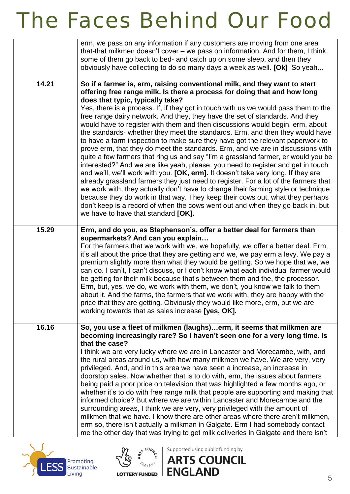|       | erm, we pass on any information if any customers are moving from one area<br>that-that milkmen doesn't cover – we pass on information. And for them, I think,<br>some of them go back to bed- and catch up on some sleep, and then they<br>obviously have collecting to do so many days a week as well. [Ok] So yeah                                                                                                                                                                                                                                                                                                                                                                                                                                                                                                                                                                                                                                                                                                                                                                                                                                                                                                                                                                                                                                        |
|-------|-------------------------------------------------------------------------------------------------------------------------------------------------------------------------------------------------------------------------------------------------------------------------------------------------------------------------------------------------------------------------------------------------------------------------------------------------------------------------------------------------------------------------------------------------------------------------------------------------------------------------------------------------------------------------------------------------------------------------------------------------------------------------------------------------------------------------------------------------------------------------------------------------------------------------------------------------------------------------------------------------------------------------------------------------------------------------------------------------------------------------------------------------------------------------------------------------------------------------------------------------------------------------------------------------------------------------------------------------------------|
| 14.21 | So if a farmer is, erm, raising conventional milk, and they want to start<br>offering free range milk. Is there a process for doing that and how long<br>does that typic, typically take?<br>Yes, there is a process. If, if they got in touch with us we would pass them to the<br>free range dairy network. And they, they have the set of standards. And they<br>would have to register with them and then discussions would begin, erm, about<br>the standards- whether they meet the standards. Erm, and then they would have<br>to have a farm inspection to make sure they have got the relevant paperwork to<br>prove erm, that they do meet the standards. Erm, and we are in discussions with<br>quite a few farmers that ring us and say "I'm a grassland farmer, er would you be<br>interested?" And we are like yeah, please, you need to register and get in touch<br>and we'll, we'll work with you. [OK, erm]. It doesn't take very long. If they are<br>already grassland farmers they just need to register. For a lot of the farmers that<br>we work with, they actually don't have to change their farming style or technique<br>because they do work in that way. They keep their cows out, what they perhaps<br>don't keep is a record of when the cows went out and when they go back in, but<br>we have to have that standard [OK]. |
| 15.29 | Erm, and do you, as Stephenson's, offer a better deal for farmers than<br>supermarkets? And can you explain<br>For the farmers that we work with we, we hopefully, we offer a better deal. Erm,<br>it's all about the price that they are getting and we, we pay erm a levy. We pay a<br>premium slightly more than what they would be getting. So we hope that we, we<br>can do. I can't, I can't discuss, or I don't know what each individual farmer would<br>be getting for their milk because that's between them and the, the processor.<br>Erm, but, yes, we do, we work with them, we don't, you know we talk to them<br>about it. And the farms, the farmers that we work with, they are happy with the<br>price that they are getting. Obviously they would like more, erm, but we are<br>working towards that as sales increase [yes, OK].                                                                                                                                                                                                                                                                                                                                                                                                                                                                                                       |
| 16.16 | So, you use a fleet of milkmen (laughs)erm, it seems that milkmen are<br>becoming increasingly rare? So I haven't seen one for a very long time. Is<br>that the case?<br>I think we are very lucky where we are in Lancaster and Morecambe, with, and<br>the rural areas around us, with how many milkmen we have. We are very, very<br>privileged. And, and in this area we have seen a increase, an increase in<br>doorstop sales. Now whether that is to do with, erm, the issues about farmers<br>being paid a poor price on television that was highlighted a few months ago, or<br>whether it's to do with free range milk that people are supporting and making that<br>informed choice? But where we are within Lancaster and Morecambe and the<br>surrounding areas, I think we are very, very privileged with the amount of<br>milkmen that we have. I know there are other areas where there aren't milkmen,<br>erm so, there isn't actually a milkman in Galgate. Erm I had somebody contact<br>me the other day that was trying to get milk deliveries in Galgate and there isn't                                                                                                                                                                                                                                                              |





Supported using public funding by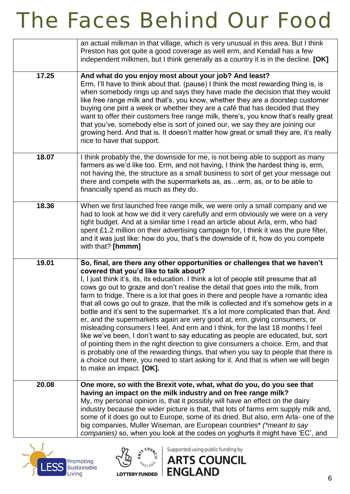|       | an actual milkman in that village, which is very unusual in this area. But I think<br>Preston has got quite a good coverage as well erm, and Kendall has a few<br>independent milkmen, but I think generally as a country it is in the decline. [OK]                                                                                                                                                                                                                                                                                                                                                                                                                                                                                                                                                                                                                                                                                                                                                                                                                                                                       |
|-------|----------------------------------------------------------------------------------------------------------------------------------------------------------------------------------------------------------------------------------------------------------------------------------------------------------------------------------------------------------------------------------------------------------------------------------------------------------------------------------------------------------------------------------------------------------------------------------------------------------------------------------------------------------------------------------------------------------------------------------------------------------------------------------------------------------------------------------------------------------------------------------------------------------------------------------------------------------------------------------------------------------------------------------------------------------------------------------------------------------------------------|
| 17.25 | And what do you enjoy most about your job? And least?<br>Erm, I'll have to think about that. (pause) I think the most rewarding thing is, is<br>when somebody rings up and says they have made the decision that they would<br>like free range milk and that's, you know, whether they are a doorstep customer<br>buying one pint a week or whether they are a café that has decided that they<br>want to offer their customers free range milk, there's, you know that's really great<br>that you've, somebody else is sort of joined our, we say they are joining our<br>growing herd. And that is. It doesn't matter how great or small they are, it's really<br>nice to have that support.                                                                                                                                                                                                                                                                                                                                                                                                                             |
| 18.07 | I think probably the, the downside for me, is not being able to support as many<br>farmers as we'd like too. Erm, and not having, I think the hardest thing is, erm,<br>not having the, the structure as a small business to sort of get your message out<br>there and compete with the supermarkets as, aserm, as, or to be able to<br>financially spend as much as they do.                                                                                                                                                                                                                                                                                                                                                                                                                                                                                                                                                                                                                                                                                                                                              |
| 18.36 | When we first launched free range milk, we were only a small company and we<br>had to look at how we did it very carefully and erm obviously we were on a very<br>tight budget. And at a similar time I read an article about Arla, erm, who had<br>spent £1.2 million on their advertising campaign for, I think it was the pure filter,<br>and it was just like: how do you, that's the downside of it, how do you compete<br>with that? [hmmm]                                                                                                                                                                                                                                                                                                                                                                                                                                                                                                                                                                                                                                                                          |
| 19.01 | So, final, are there any other opportunities or challenges that we haven't<br>covered that you'd like to talk about?<br>I, I just think it's, its, its education. I think a lot of people still presume that all<br>cows go out to graze and don't realise the detail that goes into the milk, from<br>farm to fridge. There is a lot that goes in there and people have a romantic idea<br>that all cows go out to graze, that the milk is collected and it's somehow gets in a<br>bottle and it's sent to the supermarket. It's a lot more complicated than that. And<br>er, and the supermarkets again are very good at, erm, giving consumers, or<br>misleading consumers I feel. And erm and I think, for the last 18 months I feel<br>like we've been, I don't want to say educating as people are educated, but, sort<br>of pointing them in the right direction to give consumers a choice. Erm, and that<br>is probably one of the rewarding things, that when you say to people that there is<br>a choice out there, you need to start asking for it. And that is when we will begin<br>to make an impact. [OK]. |
| 20.08 | One more, so with the Brexit vote, what, what do you, do you see that<br>having an impact on the milk industry and on free range milk?<br>My, my personal opinion is, that it possibly will have an effect on the dairy<br>industry because the wider picture is that, that lots of farms erm supply milk and,<br>some of it does go out to Europe, some of its dried. But also, erm Arla- one of the<br>big companies, Muller Wiseman, are European countries* (*meant to say<br>companies) so, when you look at the codes on yoghurts it might have 'EC', and                                                                                                                                                                                                                                                                                                                                                                                                                                                                                                                                                            |





Supported using public funding by